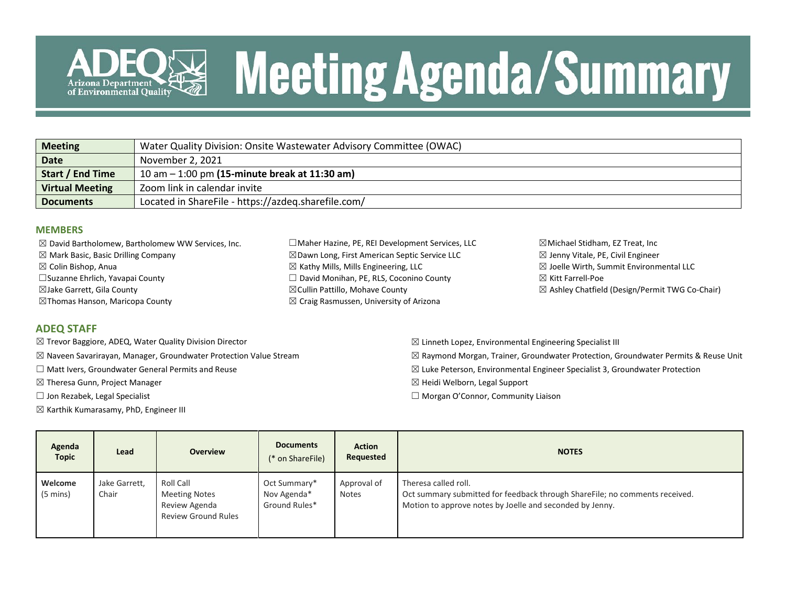

# **Meeting Agenda/Summary**

| <b>Meeting</b>          | Water Quality Division: Onsite Wastewater Advisory Committee (OWAC) |
|-------------------------|---------------------------------------------------------------------|
| <b>Date</b>             | November 2, 2021                                                    |
| <b>Start / End Time</b> | 10 am $-$ 1:00 pm (15-minute break at 11:30 am)                     |
| <b>Virtual Meeting</b>  | Zoom link in calendar invite                                        |
| <b>Documents</b>        | Located in ShareFile - https://azdeq.sharefile.com/                 |

#### **MEMBERS**

| $\boxtimes$ David Bartholomew, Bartholomew WW Services, Inc. | □ Maher Hazine, PE, REI Development Services, LLC        | $\boxtimes$ Michael Stidham, EZ Treat, Inc         |
|--------------------------------------------------------------|----------------------------------------------------------|----------------------------------------------------|
| $\boxtimes$ Mark Basic, Basic Drilling Company               | $\boxtimes$ Dawn Long, First American Septic Service LLC | $\boxtimes$ Jenny Vitale, PE, Civil Engineer       |
| $\boxtimes$ Colin Bishop, Anua                               | $\boxtimes$ Kathy Mills, Mills Engineering, LLC          | $\boxtimes$ Joelle Wirth, Summit Environmental LLC |
| □ Suzanne Ehrlich, Yavapai County                            | $\Box$ David Monihan, PE, RLS, Coconino County           | $\boxtimes$ Kitt Farrell-Poe                       |
| ⊠Jake Garrett, Gila County                                   | $\boxtimes$ Cullin Pattillo, Mohave County               | ⊠ Ashley Chatfield (Design/Permit TWG Co-Chair)    |
| $\boxtimes$ Thomas Hanson, Maricopa County                   | $\boxtimes$ Craig Rasmussen, University of Arizona       |                                                    |
|                                                              |                                                          |                                                    |

#### **ADEQ STAFF**

- ☒ Trevor Baggiore, ADEQ, Water Quality Division Director
- ☒ Naveen Savarirayan, Manager, Groundwater Protection Value Stream
- ☐ Matt Ivers, Groundwater General Permits and Reuse
- ☒ Theresa Gunn, Project Manager
- ☐ Jon Rezabek, Legal Specialist
- $\boxtimes$  Karthik Kumarasamy, PhD, Engineer III

 $\boxtimes$  Linneth Lopez, Environmental Engineering Specialist III  $\boxtimes$  Raymond Morgan, Trainer, Groundwater Protection, Groundwater Permits & Reuse Unit  $\boxtimes$  Luke Peterson, Environmental Engineer Specialist 3, Groundwater Protection ☒ Heidi Welborn, Legal Support ☐ Morgan O'Connor, Community Liaison

| Agenda<br><b>Topic</b> | Lead                   | <b>Overview</b>                                                                  | <b>Documents</b><br>(* on ShareFile)         | <b>Action</b><br>Requested  | <b>NOTES</b>                                                                                                                                                    |
|------------------------|------------------------|----------------------------------------------------------------------------------|----------------------------------------------|-----------------------------|-----------------------------------------------------------------------------------------------------------------------------------------------------------------|
| Welcome<br>(5 mins)    | Jake Garrett,<br>Chair | Roll Call<br><b>Meeting Notes</b><br>Review Agenda<br><b>Review Ground Rules</b> | Oct Summary*<br>Nov Agenda*<br>Ground Rules* | Approval of<br><b>Notes</b> | Theresa called roll.<br>Oct summary submitted for feedback through ShareFile; no comments received.<br>Motion to approve notes by Joelle and seconded by Jenny. |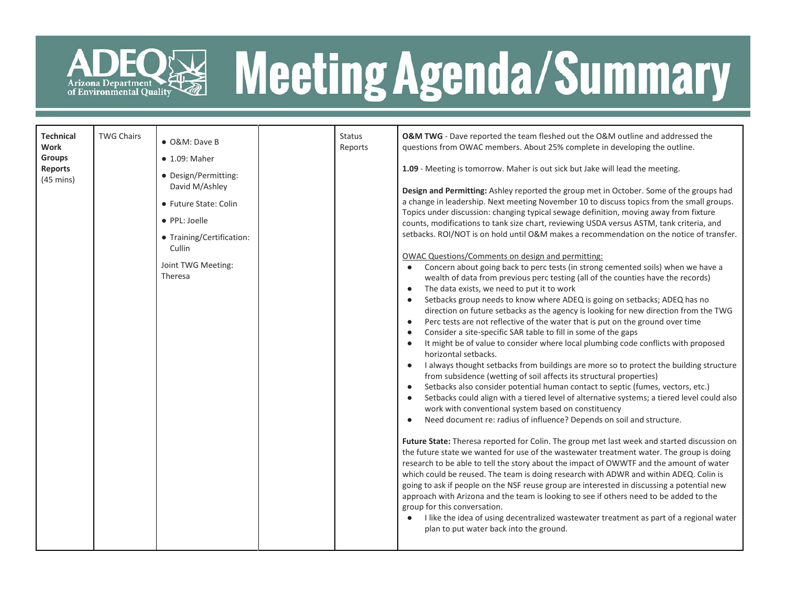

## ADEQ<sup>E</sup> Meeting Agenda/Summary

| <b>Technical</b><br>Work<br><b>Groups</b><br><b>Reports</b><br>$(45 \text{ mins})$ | <b>TWG Chairs</b> | • O&M: Dave B<br>$\bullet$ 1.09: Maher<br>• Design/Permitting:<br>David M/Ashley<br>• Future State: Colin<br>• PPL: Joelle<br>• Training/Certification:<br>Cullin<br>Joint TWG Meeting:<br>Theresa |  | <b>Status</b><br>Reports | O&M TWG - Dave reported the team fleshed out the O&M outline and addressed the<br>questions from OWAC members. About 25% complete in developing the outline.<br>1.09 - Meeting is tomorrow. Maher is out sick but Jake will lead the meeting.<br>Design and Permitting: Ashley reported the group met in October. Some of the groups had<br>a change in leadership. Next meeting November 10 to discuss topics from the small groups.<br>Topics under discussion: changing typical sewage definition, moving away from fixture<br>counts, modifications to tank size chart, reviewing USDA versus ASTM, tank criteria, and<br>setbacks. ROI/NOT is on hold until O&M makes a recommendation on the notice of transfer.<br>OWAC Questions/Comments on design and permitting:<br>Concern about going back to perc tests (in strong cemented soils) when we have a<br>wealth of data from previous perc testing (all of the counties have the records)<br>The data exists, we need to put it to work<br>$\bullet$<br>Setbacks group needs to know where ADEQ is going on setbacks; ADEQ has no<br>$\bullet$<br>direction on future setbacks as the agency is looking for new direction from the TWG<br>Perc tests are not reflective of the water that is put on the ground over time<br>$\bullet$<br>Consider a site-specific SAR table to fill in some of the gaps<br>$\bullet$<br>It might be of value to consider where local plumbing code conflicts with proposed<br>$\bullet$<br>horizontal setbacks.<br>I always thought setbacks from buildings are more so to protect the building structure<br>from subsidence (wetting of soil affects its structural properties)<br>Setbacks also consider potential human contact to septic (fumes, vectors, etc.)<br>$\bullet$<br>Setbacks could align with a tiered level of alternative systems; a tiered level could also<br>work with conventional system based on constituency<br>Need document re: radius of influence? Depends on soil and structure.<br>Future State: Theresa reported for Colin. The group met last week and started discussion on<br>the future state we wanted for use of the wastewater treatment water. The group is doing<br>research to be able to tell the story about the impact of OWWTF and the amount of water<br>which could be reused. The team is doing research with ADWR and within ADEQ. Colin is<br>going to ask if people on the NSF reuse group are interested in discussing a potential new<br>approach with Arizona and the team is looking to see if others need to be added to the<br>group for this conversation.<br>I like the idea of using decentralized wastewater treatment as part of a regional water<br>plan to put water back into the ground. |
|------------------------------------------------------------------------------------|-------------------|----------------------------------------------------------------------------------------------------------------------------------------------------------------------------------------------------|--|--------------------------|-------------------------------------------------------------------------------------------------------------------------------------------------------------------------------------------------------------------------------------------------------------------------------------------------------------------------------------------------------------------------------------------------------------------------------------------------------------------------------------------------------------------------------------------------------------------------------------------------------------------------------------------------------------------------------------------------------------------------------------------------------------------------------------------------------------------------------------------------------------------------------------------------------------------------------------------------------------------------------------------------------------------------------------------------------------------------------------------------------------------------------------------------------------------------------------------------------------------------------------------------------------------------------------------------------------------------------------------------------------------------------------------------------------------------------------------------------------------------------------------------------------------------------------------------------------------------------------------------------------------------------------------------------------------------------------------------------------------------------------------------------------------------------------------------------------------------------------------------------------------------------------------------------------------------------------------------------------------------------------------------------------------------------------------------------------------------------------------------------------------------------------------------------------------------------------------------------------------------------------------------------------------------------------------------------------------------------------------------------------------------------------------------------------------------------------------------------------------------------------------------------------------------------------------------------------------------------------------------------------------------------------------------------------------------------------------------------------------------------------------------------|
|------------------------------------------------------------------------------------|-------------------|----------------------------------------------------------------------------------------------------------------------------------------------------------------------------------------------------|--|--------------------------|-------------------------------------------------------------------------------------------------------------------------------------------------------------------------------------------------------------------------------------------------------------------------------------------------------------------------------------------------------------------------------------------------------------------------------------------------------------------------------------------------------------------------------------------------------------------------------------------------------------------------------------------------------------------------------------------------------------------------------------------------------------------------------------------------------------------------------------------------------------------------------------------------------------------------------------------------------------------------------------------------------------------------------------------------------------------------------------------------------------------------------------------------------------------------------------------------------------------------------------------------------------------------------------------------------------------------------------------------------------------------------------------------------------------------------------------------------------------------------------------------------------------------------------------------------------------------------------------------------------------------------------------------------------------------------------------------------------------------------------------------------------------------------------------------------------------------------------------------------------------------------------------------------------------------------------------------------------------------------------------------------------------------------------------------------------------------------------------------------------------------------------------------------------------------------------------------------------------------------------------------------------------------------------------------------------------------------------------------------------------------------------------------------------------------------------------------------------------------------------------------------------------------------------------------------------------------------------------------------------------------------------------------------------------------------------------------------------------------------------------------------|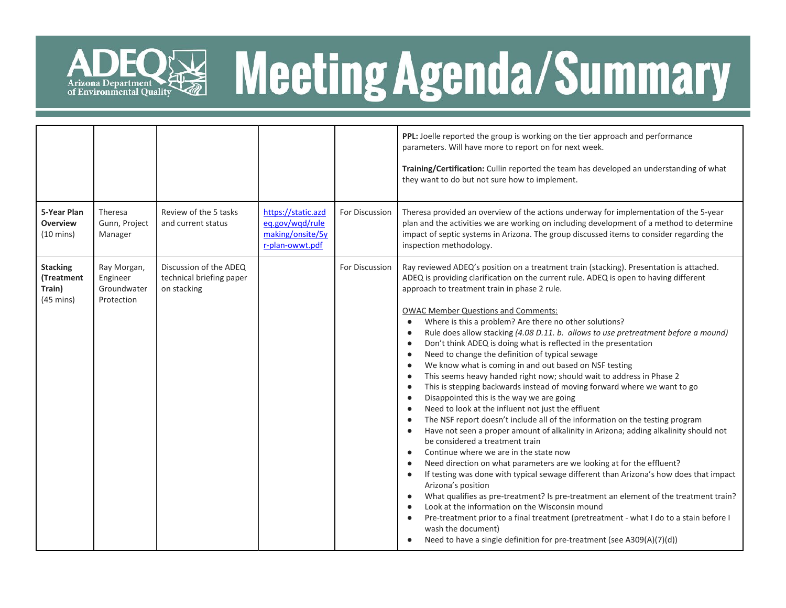

## ADEQ<sup>E</sup> Meeting Agenda/Summary

|                                                                |                                                      |                                                                   |                                                                              |                | PPL: Joelle reported the group is working on the tier approach and performance<br>parameters. Will have more to report on for next week.<br>Training/Certification: Cullin reported the team has developed an understanding of what<br>they want to do but not sure how to implement.                                                                                                                                                                                                                                                                                                                                                                                                                                                                                                                                                                                                                                                                                                                                                                                                                                                                                                                                                                                                                                                                                                                                                                                                                                                                                                                                                                                                                                                                                                                                                                                  |
|----------------------------------------------------------------|------------------------------------------------------|-------------------------------------------------------------------|------------------------------------------------------------------------------|----------------|------------------------------------------------------------------------------------------------------------------------------------------------------------------------------------------------------------------------------------------------------------------------------------------------------------------------------------------------------------------------------------------------------------------------------------------------------------------------------------------------------------------------------------------------------------------------------------------------------------------------------------------------------------------------------------------------------------------------------------------------------------------------------------------------------------------------------------------------------------------------------------------------------------------------------------------------------------------------------------------------------------------------------------------------------------------------------------------------------------------------------------------------------------------------------------------------------------------------------------------------------------------------------------------------------------------------------------------------------------------------------------------------------------------------------------------------------------------------------------------------------------------------------------------------------------------------------------------------------------------------------------------------------------------------------------------------------------------------------------------------------------------------------------------------------------------------------------------------------------------------|
| 5-Year Plan<br><b>Overview</b><br>$(10 \text{ mins})$          | Theresa<br>Gunn, Project<br>Manager                  | Review of the 5 tasks<br>and current status                       | https://static.azd<br>eq.gov/wqd/rule<br>making/onsite/5y<br>r-plan-owwt.pdf | For Discussion | Theresa provided an overview of the actions underway for implementation of the 5-year<br>plan and the activities we are working on including development of a method to determine<br>impact of septic systems in Arizona. The group discussed items to consider regarding the<br>inspection methodology.                                                                                                                                                                                                                                                                                                                                                                                                                                                                                                                                                                                                                                                                                                                                                                                                                                                                                                                                                                                                                                                                                                                                                                                                                                                                                                                                                                                                                                                                                                                                                               |
| <b>Stacking</b><br>(Treatment<br>Train)<br>$(45 \text{ mins})$ | Ray Morgan,<br>Engineer<br>Groundwater<br>Protection | Discussion of the ADEQ<br>technical briefing paper<br>on stacking |                                                                              | For Discussion | Ray reviewed ADEQ's position on a treatment train (stacking). Presentation is attached.<br>ADEQ is providing clarification on the current rule. ADEQ is open to having different<br>approach to treatment train in phase 2 rule.<br><b>OWAC Member Questions and Comments:</b><br>Where is this a problem? Are there no other solutions?<br>$\bullet$<br>Rule does allow stacking (4.08 D.11. b. allows to use pretreatment before a mound)<br>$\bullet$<br>Don't think ADEQ is doing what is reflected in the presentation<br>$\bullet$<br>Need to change the definition of typical sewage<br>$\bullet$<br>We know what is coming in and out based on NSF testing<br>$\bullet$<br>This seems heavy handed right now; should wait to address in Phase 2<br>$\bullet$<br>This is stepping backwards instead of moving forward where we want to go<br>$\bullet$<br>Disappointed this is the way we are going<br>$\bullet$<br>Need to look at the influent not just the effluent<br>$\bullet$<br>The NSF report doesn't include all of the information on the testing program<br>$\bullet$<br>Have not seen a proper amount of alkalinity in Arizona; adding alkalinity should not<br>$\bullet$<br>be considered a treatment train<br>Continue where we are in the state now<br>$\bullet$<br>Need direction on what parameters are we looking at for the effluent?<br>$\bullet$<br>If testing was done with typical sewage different than Arizona's how does that impact<br>$\bullet$<br>Arizona's position<br>What qualifies as pre-treatment? Is pre-treatment an element of the treatment train?<br>$\bullet$<br>Look at the information on the Wisconsin mound<br>$\bullet$<br>Pre-treatment prior to a final treatment (pretreatment - what I do to a stain before I<br>wash the document)<br>Need to have a single definition for pre-treatment (see A309(A)(7)(d)) |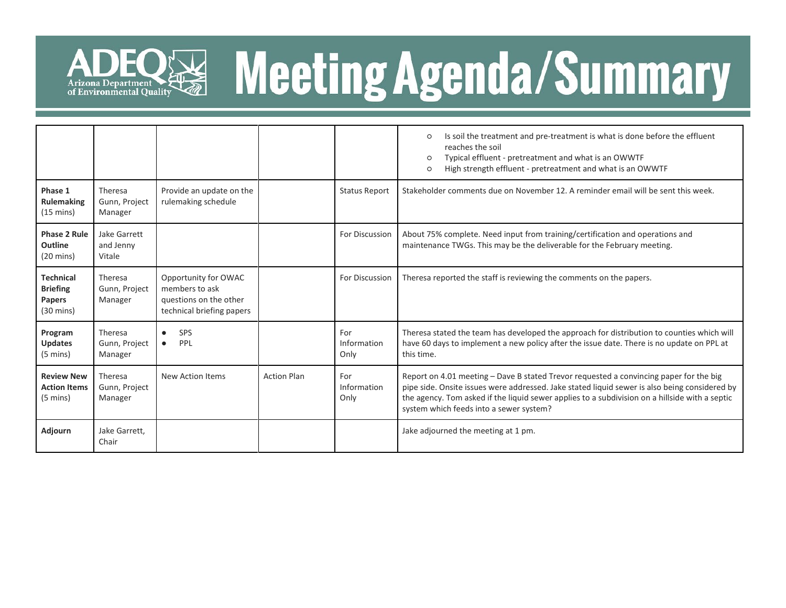

## ADEQ<sup>E</sup> Meeting Agenda/Summary

|                                                                             |                                     |                                                                                               |                    |                            | Is soil the treatment and pre-treatment is what is done before the effluent<br>$\circ$<br>reaches the soil<br>Typical effluent - pretreatment and what is an OWWTF<br>$\circ$<br>High strength effluent - pretreatment and what is an OWWTF<br>$\circ$                                                                               |
|-----------------------------------------------------------------------------|-------------------------------------|-----------------------------------------------------------------------------------------------|--------------------|----------------------------|--------------------------------------------------------------------------------------------------------------------------------------------------------------------------------------------------------------------------------------------------------------------------------------------------------------------------------------|
| Phase 1<br><b>Rulemaking</b><br>$(15 \text{ mins})$                         | Theresa<br>Gunn, Project<br>Manager | Provide an update on the<br>rulemaking schedule                                               |                    | <b>Status Report</b>       | Stakeholder comments due on November 12. A reminder email will be sent this week.                                                                                                                                                                                                                                                    |
| <b>Phase 2 Rule</b><br>Outline<br>$(20 \text{ mins})$                       | Jake Garrett<br>and Jenny<br>Vitale |                                                                                               |                    | For Discussion             | About 75% complete. Need input from training/certification and operations and<br>maintenance TWGs. This may be the deliverable for the February meeting.                                                                                                                                                                             |
| <b>Technical</b><br><b>Briefing</b><br><b>Papers</b><br>$(30 \text{ mins})$ | Theresa<br>Gunn, Project<br>Manager | Opportunity for OWAC<br>members to ask<br>questions on the other<br>technical briefing papers |                    | For Discussion             | Theresa reported the staff is reviewing the comments on the papers.                                                                                                                                                                                                                                                                  |
| Program<br><b>Updates</b><br>$(5 \text{ mins})$                             | Theresa<br>Gunn, Project<br>Manager | SPS<br>$\bullet$<br>PPL<br>$\bullet$                                                          |                    | For<br>Information<br>Only | Theresa stated the team has developed the approach for distribution to counties which will<br>have 60 days to implement a new policy after the issue date. There is no update on PPL at<br>this time.                                                                                                                                |
| <b>Review New</b><br><b>Action Items</b><br>$(5 \text{ mins})$              | Theresa<br>Gunn, Project<br>Manager | New Action Items                                                                              | <b>Action Plan</b> | For<br>Information<br>Only | Report on 4.01 meeting - Dave B stated Trevor requested a convincing paper for the big<br>pipe side. Onsite issues were addressed. Jake stated liquid sewer is also being considered by<br>the agency. Tom asked if the liquid sewer applies to a subdivision on a hillside with a septic<br>system which feeds into a sewer system? |
| Adjourn                                                                     | Jake Garrett,<br>Chair              |                                                                                               |                    |                            | Jake adjourned the meeting at 1 pm.                                                                                                                                                                                                                                                                                                  |